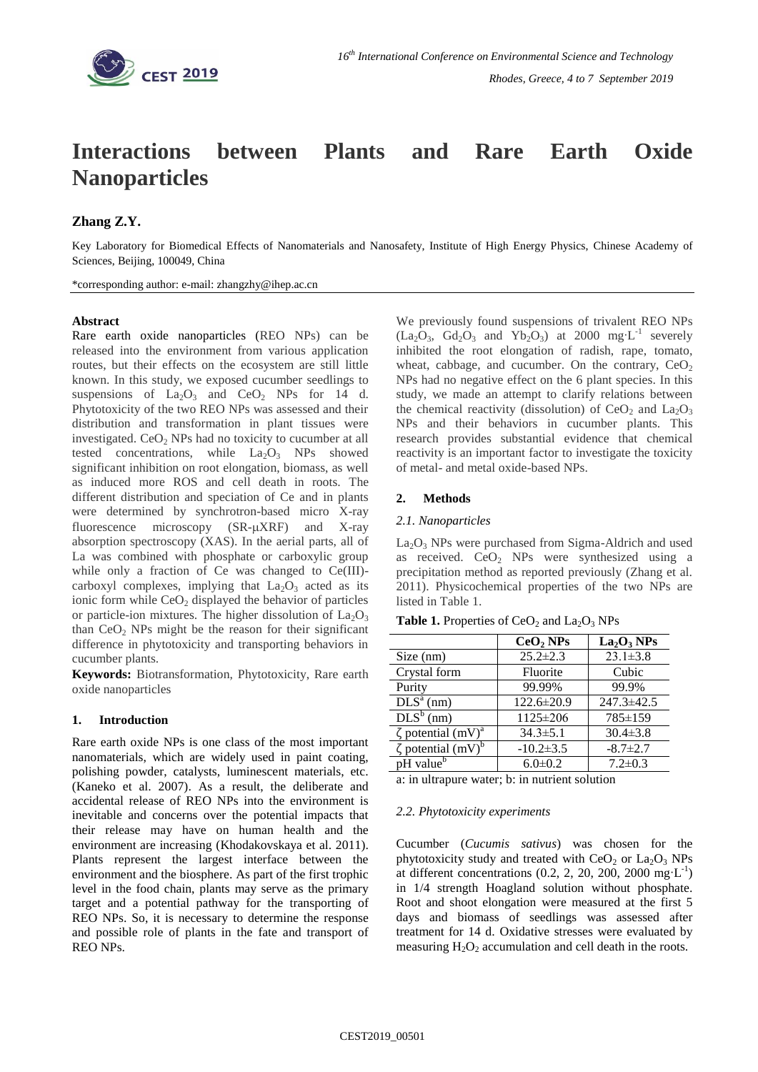

# **Interactions between Plants and Rare Earth Oxide Nanoparticles**

# **Zhang Z.Y.**

Key Laboratory for Biomedical Effects of Nanomaterials and Nanosafety, Institute of High Energy Physics, Chinese Academy of Sciences, Beijing, 100049, China

\*corresponding author: e-mail: zhangzhy@ihep.ac.cn

### **Abstract**

Rare earth oxide nanoparticles (REO NPs) can be released into the environment from various application routes, but their effects on the ecosystem are still little known. In this study, we exposed cucumber seedlings to suspensions of  $La_2O_3$  and  $CeO_2$  NPs for 14 d. Phytotoxicity of the two REO NPs was assessed and their distribution and transformation in plant tissues were investigated.  $CeO<sub>2</sub>$  NPs had no toxicity to cucumber at all tested concentrations, while  $La_2O_3$  NPs showed significant inhibition on root elongation, biomass, as well as induced more ROS and cell death in roots. The different distribution and speciation of Ce and in plants were determined by synchrotron-based micro X-ray fluorescence microscopy  $(SR-\mu XRF)$  and X-ray absorption spectroscopy (XAS). In the aerial parts, all of La was combined with phosphate or carboxylic group while only a fraction of Ce was changed to Ce(III)carboxyl complexes, implying that  $La_2O_3$  acted as its ionic form while  $CeO<sub>2</sub>$  displayed the behavior of particles or particle-ion mixtures. The higher dissolution of  $La<sub>2</sub>O<sub>3</sub>$ than  $CeO<sub>2</sub>$  NPs might be the reason for their significant difference in phytotoxicity and transporting behaviors in cucumber plants.

**Keywords:** Biotransformation, Phytotoxicity, Rare earth oxide nanoparticles

#### **1. Introduction**

Rare earth oxide NPs is one class of the most important nanomaterials, which are widely used in paint coating, polishing powder, catalysts, luminescent materials, etc. (Kaneko et al. 2007). As a result, the deliberate and accidental release of REO NPs into the environment is inevitable and concerns over the potential impacts that their release may have on human health and the environment are increasing (Khodakovskaya et al. 2011). Plants represent the largest interface between the environment and the biosphere. As part of the first trophic level in the food chain, plants may serve as the primary target and a potential pathway for the transporting of REO NPs. So, it is necessary to determine the response and possible role of plants in the fate and transport of REO NPs.

We previously found suspensions of trivalent REO NPs  $(La<sub>2</sub>O<sub>3</sub>, Gd<sub>2</sub>O<sub>3</sub>$  and Yb<sub>2</sub>O<sub>3</sub>) at 2000 mg L<sup>-1</sup> severely inhibited the root elongation of radish, rape, tomato, wheat, cabbage, and cucumber. On the contrary,  $CeO<sub>2</sub>$ NPs had no negative effect on the 6 plant species. In this study, we made an attempt to clarify relations between the chemical reactivity (dissolution) of  $CeO<sub>2</sub>$  and  $La<sub>2</sub>O<sub>3</sub>$ NPs and their behaviors in cucumber plants. This research provides substantial evidence that chemical reactivity is an important factor to investigate the toxicity of metal- and metal oxide-based NPs.

## **2. Methods**

#### *2.1. Nanoparticles*

 $La<sub>2</sub>O<sub>3</sub>$  NPs were purchased from Sigma-Aldrich and used as received.  $CeO<sub>2</sub>$  NPs were synthesized using a precipitation method as reported previously (Zhang et al. 2011). Physicochemical properties of the two NPs are listed in Table 1.

|                                     | CeO <sub>2</sub> NPs | La <sub>2</sub> O <sub>3</sub> NPs |
|-------------------------------------|----------------------|------------------------------------|
| Size (nm)                           | $25.2 \pm 2.3$       | $23.1 \pm 3.8$                     |
| Crystal form                        | Fluorite             | Cubic                              |
| Purity                              | 99.99%               | 99.9%                              |
| $DLSa$ (nm)                         | 122.6±20.9           | 247.3±42.5                         |
| $DLS^b$ (nm)                        | $1125 \pm 206$       | 785±159                            |
| $\zeta$ potential (mV) <sup>a</sup> | $34.3 \pm 5.1$       | $30.4 \pm 3.8$                     |
| $\zeta$ potential (mV) <sup>b</sup> | $-10.2 \pm 3.5$      | $-8.7 \pm 2.7$                     |
| pH value <sup>b</sup>               | $6.0 \pm 0.2$        | $7.2 \pm 0.3$                      |

a: in ultrapure water; b: in nutrient solution

#### *2.2. Phytotoxicity experiments*

Cucumber (*Cucumis sativus*) was chosen for the phytotoxicity study and treated with  $CeO<sub>2</sub>$  or  $La<sub>2</sub>O<sub>3</sub>$  NPs at different concentrations  $(0.2, 2, 20, 200, 2000 \text{ mg} \cdot \text{L}^{-1})$ in 1/4 strength Hoagland solution without phosphate. Root and shoot elongation were measured at the first 5 days and biomass of seedlings was assessed after treatment for 14 d. Oxidative stresses were evaluated by measuring  $H_2O_2$  accumulation and cell death in the roots.